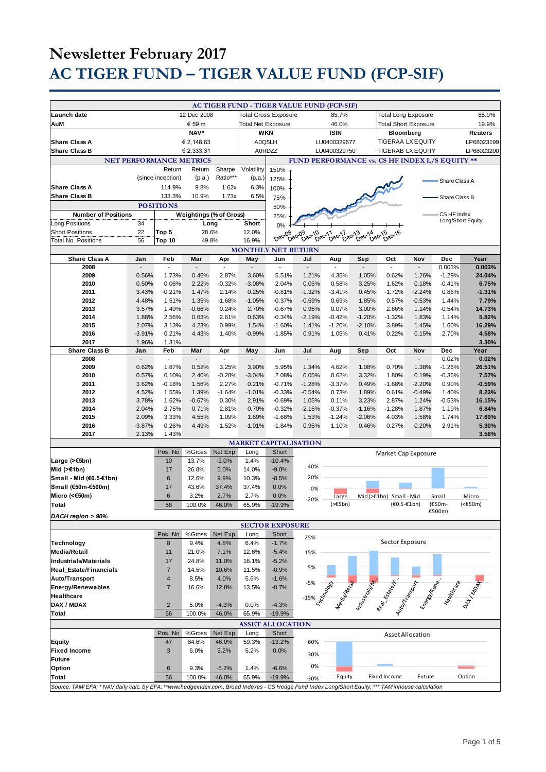# **Newsletter February 2017 AC TIGER FUND – TIGER VALUE FUND (FCP-SIF)**

| Launch date                                                                                                                                         | 12 Dec 2008    |                   |                                |                           |                        | AC TIGER FUND - TIGER VALUE FUND (FCP-SIF)<br><b>Total Gross Exposure</b><br>85.7% |                                                |                                                                             |                          | <b>Total Long Exposure</b><br>65.9%                                                                                                                                                                                           |                  |                      |                 |
|-----------------------------------------------------------------------------------------------------------------------------------------------------|----------------|-------------------|--------------------------------|---------------------------|------------------------|------------------------------------------------------------------------------------|------------------------------------------------|-----------------------------------------------------------------------------|--------------------------|-------------------------------------------------------------------------------------------------------------------------------------------------------------------------------------------------------------------------------|------------------|----------------------|-----------------|
|                                                                                                                                                     |                |                   |                                | <b>Total Net Exposure</b> |                        |                                                                                    |                                                |                                                                             |                          | <b>Total Short Exposure</b>                                                                                                                                                                                                   |                  |                      |                 |
| € 59 m<br>AuM                                                                                                                                       |                |                   |                                |                           |                        |                                                                                    | 46.0%                                          |                                                                             |                          |                                                                                                                                                                                                                               |                  | 19.9%                |                 |
| NAV*                                                                                                                                                |                |                   | <b>WKN</b>                     |                           |                        | ISIN                                                                               |                                                | Bloomberg                                                                   |                          |                                                                                                                                                                                                                               | <b>Reuters</b>   |                      |                 |
| <b>Share Class A</b>                                                                                                                                | € 2,148.63     |                   |                                |                           | A0Q5LH<br>LU0400329677 |                                                                                    |                                                |                                                                             | <b>TIGERAA LX EQUITY</b> |                                                                                                                                                                                                                               |                  | LP68023199           |                 |
| <b>Share Class B</b>                                                                                                                                |                |                   | € 2,333.31                     |                           |                        | A0RDZZ                                                                             |                                                | LU0400329750                                                                |                          | <b>TIGERAB LX EQUITY</b>                                                                                                                                                                                                      |                  |                      | LP68023200      |
|                                                                                                                                                     |                |                   | <b>NET PERFORMANCE METRICS</b> |                           |                        |                                                                                    | FUND PERFORMANCE vs. CS HF INDEX L/S EQUITY ** |                                                                             |                          |                                                                                                                                                                                                                               |                  |                      |                 |
|                                                                                                                                                     |                | Return            | Return                         | Sharpe                    | Volatility             | 150%                                                                               |                                                |                                                                             |                          |                                                                                                                                                                                                                               |                  |                      |                 |
|                                                                                                                                                     |                | (since inception) | (p.a.)                         | Ratio***                  | (p.a.)                 | 125%                                                                               |                                                |                                                                             |                          |                                                                                                                                                                                                                               |                  | Share Class A        |                 |
| <b>Share Class A</b>                                                                                                                                |                | 114.9%            | 9.8%                           | 1.62x                     | 6.3%                   | 100%                                                                               |                                                |                                                                             |                          |                                                                                                                                                                                                                               |                  |                      |                 |
| <b>Share Class B</b>                                                                                                                                |                | 133.3%            | 10.9%                          | 1.73x                     | 6.5%                   | 75%                                                                                |                                                |                                                                             |                          |                                                                                                                                                                                                                               |                  | Share Class B        |                 |
|                                                                                                                                                     |                | <b>POSITIONS</b>  |                                |                           |                        | 50%                                                                                |                                                |                                                                             |                          |                                                                                                                                                                                                                               |                  |                      |                 |
| <b>Number of Positions</b>                                                                                                                          |                |                   | Weightings (% of Gross)        |                           |                        | 25%                                                                                |                                                |                                                                             |                          |                                                                                                                                                                                                                               |                  | CS HF Index          |                 |
| Long Positions                                                                                                                                      | 34             |                   | Long                           |                           | Short                  | 0%                                                                                 |                                                |                                                                             |                          |                                                                                                                                                                                                                               |                  | Long/Short Equity    |                 |
| <b>Short Positions</b>                                                                                                                              | 22             | Top 5             | 28.6%                          |                           | 12.0%                  | Dec-08                                                                             |                                                |                                                                             |                          | Dec-16                                                                                                                                                                                                                        |                  |                      |                 |
| <b>Total No. Positions</b>                                                                                                                          | 56             | Top 10            | 49.8%                          |                           | 16.9%                  |                                                                                    | Dec <sub>09</sub><br>Dec10                     | 10 <sub>ec-11</sub><br>Dec-12ec-12<br>$\tilde{D}^{\text{ec}}$ <sup>13</sup> | Dec-14                   | DeC <sub>15</sub>                                                                                                                                                                                                             |                  |                      |                 |
| <b>MONTHLY NET RETURN</b>                                                                                                                           |                |                   |                                |                           |                        |                                                                                    |                                                |                                                                             |                          |                                                                                                                                                                                                                               |                  |                      |                 |
| <b>Share Class A</b>                                                                                                                                | Jan            | Feb               | Mar                            | Apr                       | May                    | Jun                                                                                | Jul                                            | Aug                                                                         | Sep                      | Oct                                                                                                                                                                                                                           | Nov              | Dec                  | Year            |
| 2008                                                                                                                                                |                |                   |                                |                           | $\overline{a}$         | ä,                                                                                 | $\overline{a}$                                 |                                                                             |                          | $\mathbf{r}$                                                                                                                                                                                                                  |                  | 0.003%               | 0.003%          |
| 2009                                                                                                                                                | 0.56%          | 1.73%             | 0.46%                          | 2.87%                     | 3.60%                  | 5.51%                                                                              | 1.21%                                          | 4.35%                                                                       | 1.05%                    | 0.62%                                                                                                                                                                                                                         | 1.26%            | $-1.29%$             | 24.04%          |
| 2010                                                                                                                                                | 0.50%          | 0.06%             | 2.22%                          | $-0.32%$                  | $-3.08%$               | 2.04%                                                                              | 0.05%                                          | 0.58%                                                                       | 3.25%                    | 1.62%                                                                                                                                                                                                                         | 0.18%            | $-0.41%$             | 6.75%           |
| 2011                                                                                                                                                | 3.43%          | $-0.21%$          | 1.47%                          | 2.14%                     | 0.25%                  | $-0.81%$                                                                           | $-1.32%$                                       | $-3.41%$                                                                    | 0.45%                    | $-1.72%$                                                                                                                                                                                                                      | $-2.24%$         | 0.86%                | $-1.31%$        |
| 2012                                                                                                                                                | 4.48%          | 1.51%             | 1.35%                          | $-1.68%$                  | $-1.05%$               | $-0.37%$                                                                           | $-0.59%$                                       | 0.69%                                                                       | 1.85%                    | 0.57%                                                                                                                                                                                                                         | $-0.53%$         | 1.44%                | 7.79%           |
| 2013                                                                                                                                                | 3.57%          | 1.49%             | $-0.66%$                       | 0.24%                     | 2.70%                  | $-0.67%$                                                                           | 0.95%                                          | 0.07%                                                                       | 3.00%                    | 2.66%                                                                                                                                                                                                                         | 1.14%            | $-0.54%$             | 14.73%          |
| 2014                                                                                                                                                | 1.88%          | 2.56%             | 0.63%                          | 2.61%                     | 0.63%                  | $-0.34%$                                                                           | $-2.19%$                                       | $-0.42%$                                                                    | $-1.20%$                 | $-1.32%$                                                                                                                                                                                                                      | 1.83%            | 1.14%                | 5.82%           |
| 2015                                                                                                                                                | 2.07%          | 3.13%             | 4.23%                          | 0.99%                     | 1.54%                  | $-1.60%$                                                                           | 1.41%                                          | $-1.20%$                                                                    | $-2.10%$                 | 3.89%                                                                                                                                                                                                                         | 1.45%            | 1.60%                | 16.29%          |
| 2016                                                                                                                                                | $-3.91%$       | 0.21%             | 4.43%                          | 1.40%                     | $-0.99%$               | $-1.85%$                                                                           | 0.91%                                          | 1.05%                                                                       | 0.41%                    | 0.22%                                                                                                                                                                                                                         | 0.15%            | 2.70%                | 4.58%           |
| 2017                                                                                                                                                | 1.96%          | 1.31%             |                                |                           |                        |                                                                                    |                                                |                                                                             |                          |                                                                                                                                                                                                                               |                  |                      | 3.30%           |
| <b>Share Class B</b>                                                                                                                                | Jan            | Feb               | Mar                            | Apr                       | May                    | Jun                                                                                | Jul                                            | Aug                                                                         | Sep                      | Oct                                                                                                                                                                                                                           | Nov              | Dec                  | Year            |
| 2008                                                                                                                                                | $\blacksquare$ | $\overline{a}$    | $\overline{a}$                 | $\blacksquare$            | $\blacksquare$         | $\overline{a}$                                                                     | $\blacksquare$                                 | ÷,                                                                          |                          | $\overline{\phantom{a}}$                                                                                                                                                                                                      | $\blacksquare$   | 0.02%                | 0.02%           |
| 2009<br>2010                                                                                                                                        | 0.62%<br>0.57% | 1.87%<br>0.10%    | 0.52%<br>2.40%                 | 3.25%<br>$-0.28%$         | 3.90%<br>$-3.04%$      | 5.95%<br>2.08%                                                                     | 1.34%<br>0.05%                                 | 4.62%<br>0.62%                                                              | 1.08%<br>3.32%           | 0.70%<br>1.80%                                                                                                                                                                                                                | 1.38%<br>0.19%   | $-1.26%$<br>$-0.36%$ | 26.51%<br>7.57% |
| 2011                                                                                                                                                | 3.62%          | $-0.18%$          | 1.56%                          | 2.27%                     | 0.21%                  | $-0.71%$                                                                           | $-1.28%$                                       | $-3.37%$                                                                    | 0.49%                    | $-1.68%$                                                                                                                                                                                                                      | $-2.20%$         | 0.90%                | $-0.59%$        |
| 2012                                                                                                                                                | 4.52%          | 1.55%             | 1.39%                          | $-1.64%$                  | $-1.01%$               | $-0.33%$                                                                           | $-0.54%$                                       | 0.73%                                                                       | 1.89%                    | 0.61%                                                                                                                                                                                                                         | $-0.49%$         | 1.40%                | 8.23%           |
| 2013                                                                                                                                                | 3.78%          | 1.62%             | $-0.67%$                       | 0.30%                     | 2.91%                  | $-0.69%$                                                                           | 1.05%                                          | 0.11%                                                                       | 3.23%                    | 2.87%                                                                                                                                                                                                                         | 1.24%            | $-0.53%$             | 16.15%          |
| 2014                                                                                                                                                | 2.04%          | 2.75%             | 0.71%                          | 2.81%                     | 0.70%                  | $-0.32%$                                                                           | $-2.15%$                                       | $-0.37%$                                                                    | $-1.16%$                 | $-1.28%$                                                                                                                                                                                                                      | 1.87%            | 1.19%                | 6.84%           |
| 2015                                                                                                                                                | 2.09%          | 3.33%             | 4.55%                          | 1.09%                     | 1.69%                  | $-1.68%$                                                                           | 1.53%                                          | $-1.24%$                                                                    | $-2.06%$                 | 4.03%                                                                                                                                                                                                                         | 1.58%            | 1.74%                | 17.69%          |
| 2016                                                                                                                                                | $-3.87%$       | 0.26%             | 4.49%                          | 1.52%                     | $-1.01%$               | $-1.84%$                                                                           | 0.95%                                          | 1.10%                                                                       | 0.46%                    | 0.27%                                                                                                                                                                                                                         | 0.20%            | 2.91%                | 5.30%           |
| 2017                                                                                                                                                | 2.13%          | 1.43%             |                                |                           |                        |                                                                                    |                                                |                                                                             |                          |                                                                                                                                                                                                                               |                  |                      | 3.58%           |
|                                                                                                                                                     |                |                   |                                |                           |                        |                                                                                    | <b>MARKET CAPITALISATION</b>                   |                                                                             |                          |                                                                                                                                                                                                                               |                  |                      |                 |
|                                                                                                                                                     |                | Pos. No           | %Gross                         | Net Exp                   | Long                   | Short                                                                              |                                                |                                                                             |                          | Market Cap Exposure                                                                                                                                                                                                           |                  |                      |                 |
| Large $($ > €5bn)                                                                                                                                   |                | 10                | 13.7%                          | $-9.0%$                   | 1.4%                   | $-10.4%$                                                                           |                                                |                                                                             |                          |                                                                                                                                                                                                                               |                  |                      |                 |
| Mid (>€1bn)                                                                                                                                         |                | 17                | 26.8%                          | 5.0%                      | 14.0%                  | $-9.0%$                                                                            | 40%                                            |                                                                             |                          |                                                                                                                                                                                                                               |                  |                      |                 |
| Small - Mid (€0.5-€1bn)                                                                                                                             |                | $6\phantom{1}$    | 12.6%                          | 9.9%                      | 10.3%                  | $-0.5%$                                                                            | 20%                                            |                                                                             |                          |                                                                                                                                                                                                                               |                  |                      |                 |
| Small (€50m-€500m)                                                                                                                                  |                | 17                | 43.6%                          | 37.4%                     | 37.4%                  | 0.0%                                                                               | 0%                                             |                                                                             |                          |                                                                                                                                                                                                                               |                  |                      |                 |
| Micro (<€50m)                                                                                                                                       |                | 6                 | 3.2%                           | 2.7%                      | 2.7%                   | 0.0%                                                                               | $-20%$                                         | Large                                                                       |                          | Mid (>€1bn) Small - Mid                                                                                                                                                                                                       |                  | Small                | Micro           |
| Total                                                                                                                                               |                | 56                | 100.0%                         | 46.0%                     | 65.9%                  | $-19.9%$                                                                           |                                                | $(>=5bn)$                                                                   |                          | $(60.5 - 61bn)$                                                                                                                                                                                                               |                  | (€50m-               | (<€50m)         |
| DACH region > 90%                                                                                                                                   |                |                   |                                |                           |                        |                                                                                    |                                                |                                                                             |                          |                                                                                                                                                                                                                               |                  | €500m)               |                 |
| <b>SECTOR EXPOSURE</b>                                                                                                                              |                |                   |                                |                           |                        |                                                                                    |                                                |                                                                             |                          |                                                                                                                                                                                                                               |                  |                      |                 |
|                                                                                                                                                     |                | Pos. No           | %Gross                         | Net Exp                   | Long                   | Short                                                                              | 25%                                            |                                                                             |                          |                                                                                                                                                                                                                               |                  |                      |                 |
| Technology                                                                                                                                          |                | 8                 | 9.4%                           | 4.8%                      | 6.4%                   | $-1.7%$                                                                            |                                                |                                                                             |                          | Sector Exposure                                                                                                                                                                                                               |                  |                      |                 |
| <b>Media/Retail</b>                                                                                                                                 |                | 11                | 21.0%                          | 7.1%                      | 12.6%                  | $-5.4%$                                                                            | 15%                                            |                                                                             |                          |                                                                                                                                                                                                                               |                  |                      |                 |
| <b>Industrials/Materials</b>                                                                                                                        |                | 17                | 24.8%                          | 11.0%                     | 16.1%                  | $-5.2%$                                                                            |                                                |                                                                             |                          |                                                                                                                                                                                                                               |                  |                      |                 |
| <b>Real Estate/Financials</b>                                                                                                                       |                | $\overline{7}$    | 14.5%                          | 10.6%                     | 11.5%                  | $-0.9%$                                                                            | 5%                                             |                                                                             |                          |                                                                                                                                                                                                                               |                  |                      |                 |
| Auto/Transport                                                                                                                                      |                | $\overline{4}$    | 8.5%                           | 4.0%                      | 5.6%                   | $-1.6%$                                                                            |                                                |                                                                             |                          |                                                                                                                                                                                                                               |                  |                      |                 |
| <b>Energy/Renewables</b>                                                                                                                            |                | $\overline{7}$    | 16.6%                          | 12.8%                     | 13.5%                  | $-0.7%$                                                                            |                                                |                                                                             |                          |                                                                                                                                                                                                                               |                  |                      |                 |
| <b>Healthcare</b>                                                                                                                                   |                |                   |                                |                           |                        |                                                                                    |                                                |                                                                             |                          | -15% conservation and the conservation of the conservation of the conservation of the conservation of the conservation of the conservation of the conservation of the conservation of the conservation of the conservation of |                  |                      |                 |
| DAX / MDAX                                                                                                                                          |                | $\overline{c}$    | 5.0%                           | $-4.3%$                   | 0.0%                   | $-4.3%$                                                                            |                                                |                                                                             |                          |                                                                                                                                                                                                                               |                  |                      |                 |
| Total                                                                                                                                               |                | 56                | 100.0%                         | 46.0%                     | 65.9%                  | $-19.9%$                                                                           |                                                |                                                                             |                          |                                                                                                                                                                                                                               |                  |                      |                 |
| <b>ASSET ALLOCATION</b>                                                                                                                             |                |                   |                                |                           |                        |                                                                                    |                                                |                                                                             |                          |                                                                                                                                                                                                                               |                  |                      |                 |
|                                                                                                                                                     |                | Pos. No           | %Gross                         | Net Exp                   | Long                   | Short                                                                              |                                                |                                                                             |                          |                                                                                                                                                                                                                               | Asset Allocation |                      |                 |
| <b>Equity</b>                                                                                                                                       |                | 47                | 84.6%                          | 46.0%                     | 59.3%                  | $-13.2%$                                                                           | 60%                                            |                                                                             |                          |                                                                                                                                                                                                                               |                  |                      |                 |
| <b>Fixed Income</b>                                                                                                                                 |                | 3                 | 6.0%                           | 5.2%                      | 5.2%                   | 0.0%                                                                               |                                                |                                                                             |                          |                                                                                                                                                                                                                               |                  |                      |                 |
| <b>Future</b>                                                                                                                                       |                |                   |                                |                           |                        |                                                                                    | 30%                                            |                                                                             |                          |                                                                                                                                                                                                                               |                  |                      |                 |
| Option                                                                                                                                              |                | $6\phantom{1}6$   | 9.3%                           | $-5.2%$                   | 1.4%                   | $-6.6%$                                                                            | 0%                                             |                                                                             |                          |                                                                                                                                                                                                                               |                  |                      |                 |
| Total                                                                                                                                               |                | 56                | 100.0%                         | 46.0%                     | 65.9%                  | $-19.9%$                                                                           | $-30%$                                         | Equity                                                                      |                          | Fixed Income                                                                                                                                                                                                                  | Future           |                      | Option          |
| Source: TAM/EFA; * NAV daily calc. by EFA; **www.hedgeindex.com, Broad Indexes - CS Hedge Fund Index Long/Short Equity; *** TAM inhouse calculation |                |                   |                                |                           |                        |                                                                                    |                                                |                                                                             |                          |                                                                                                                                                                                                                               |                  |                      |                 |
|                                                                                                                                                     |                |                   |                                |                           |                        |                                                                                    |                                                |                                                                             |                          |                                                                                                                                                                                                                               |                  |                      |                 |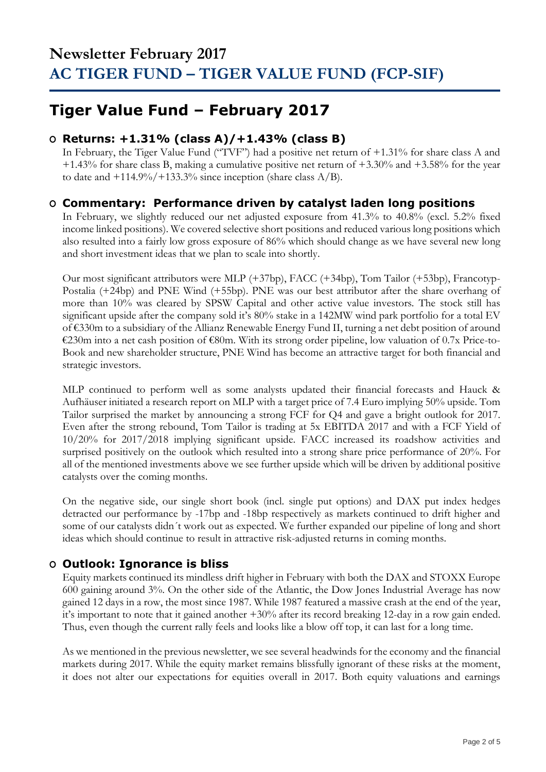## **Tiger Value Fund – February 2017**

### **O Returns: +1.31% (class A)/+1.43% (class B)**

In February, the Tiger Value Fund ("TVF") had a positive net return of  $+1.31\%$  for share class A and +1.43% for share class B, making a cumulative positive net return of +3.30% and +3.58% for the year to date and  $+114.9\%/+133.3\%$  since inception (share class A/B).

### **O Commentary: Performance driven by catalyst laden long positions**

In February, we slightly reduced our net adjusted exposure from 41.3% to 40.8% (excl. 5.2% fixed income linked positions). We covered selective short positions and reduced various long positions which also resulted into a fairly low gross exposure of 86% which should change as we have several new long and short investment ideas that we plan to scale into shortly.

Our most significant attributors were MLP (+37bp), FACC (+34bp), Tom Tailor (+53bp), Francotyp-Postalia (+24bp) and PNE Wind (+55bp). PNE was our best attributor after the share overhang of more than 10% was cleared by SPSW Capital and other active value investors. The stock still has significant upside after the company sold it's 80% stake in a 142MW wind park portfolio for a total EV of €330m to a subsidiary of the Allianz Renewable Energy Fund II, turning a net debt position of around €230m into a net cash position of €80m. With its strong order pipeline, low valuation of 0.7x Price-to-Book and new shareholder structure, PNE Wind has become an attractive target for both financial and strategic investors.

MLP continued to perform well as some analysts updated their financial forecasts and Hauck & Aufhäuser initiated a research report on MLP with a target price of 7.4 Euro implying 50% upside. Tom Tailor surprised the market by announcing a strong FCF for Q4 and gave a bright outlook for 2017. Even after the strong rebound, Tom Tailor is trading at 5x EBITDA 2017 and with a FCF Yield of 10/20% for 2017/2018 implying significant upside. FACC increased its roadshow activities and surprised positively on the outlook which resulted into a strong share price performance of 20%. For all of the mentioned investments above we see further upside which will be driven by additional positive catalysts over the coming months.

On the negative side, our single short book (incl. single put options) and DAX put index hedges detracted our performance by -17bp and -18bp respectively as markets continued to drift higher and some of our catalysts didn´t work out as expected. We further expanded our pipeline of long and short ideas which should continue to result in attractive risk-adjusted returns in coming months.

### **O Outlook: Ignorance is bliss**

Equity markets continued its mindless drift higher in February with both the DAX and STOXX Europe 600 gaining around 3%. On the other side of the Atlantic, the Dow Jones Industrial Average has now gained 12 days in a row, the most since 1987. While 1987 featured a massive crash at the end of the year, it's important to note that it gained another +30% after its record breaking 12-day in a row gain ended. Thus, even though the current rally feels and looks like a blow off top, it can last for a long time.

As we mentioned in the previous newsletter, we see several headwinds for the economy and the financial markets during 2017. While the equity market remains blissfully ignorant of these risks at the moment, it does not alter our expectations for equities overall in 2017. Both equity valuations and earnings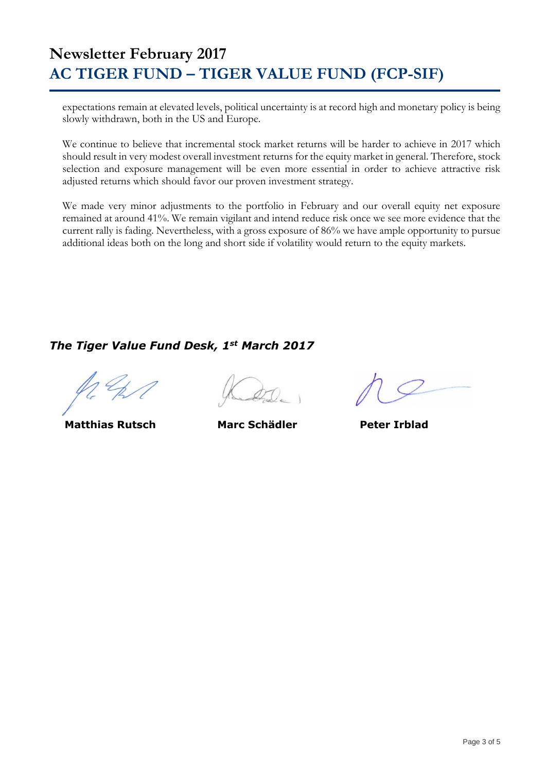## **Newsletter February 2017 AC TIGER FUND – TIGER VALUE FUND (FCP-SIF)**

expectations remain at elevated levels, political uncertainty is at record high and monetary policy is being slowly withdrawn, both in the US and Europe.

We continue to believe that incremental stock market returns will be harder to achieve in 2017 which should result in very modest overall investment returns for the equity market in general. Therefore, stock selection and exposure management will be even more essential in order to achieve attractive risk adjusted returns which should favor our proven investment strategy.

We made very minor adjustments to the portfolio in February and our overall equity net exposure remained at around 41%. We remain vigilant and intend reduce risk once we see more evidence that the current rally is fading. Nevertheless, with a gross exposure of 86% we have ample opportunity to pursue additional ideas both on the long and short side if volatility would return to the equity markets.

### *The Tiger Value Fund Desk, 1st March 2017*

 **Matthias Rutsch Marc Schädler Peter Irblad**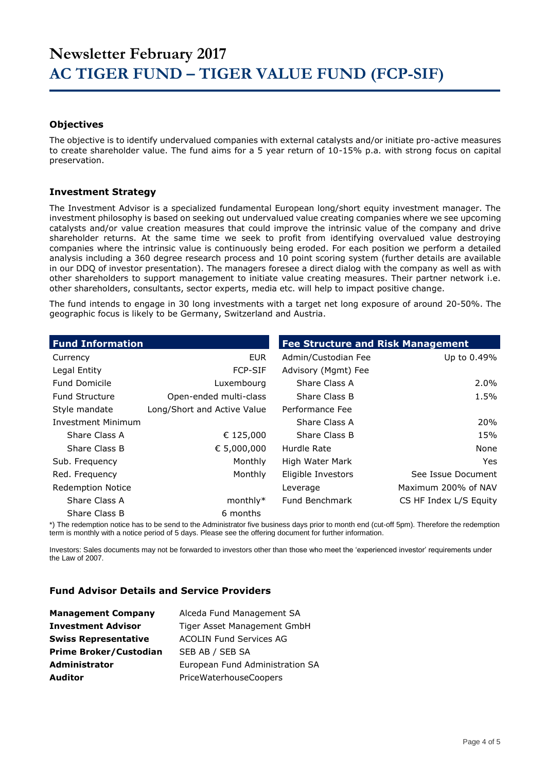#### **Objectives**

The objective is to identify undervalued companies with external catalysts and/or initiate pro-active measures to create shareholder value. The fund aims for a 5 year return of 10-15% p.a. with strong focus on capital preservation.

#### **Investment Strategy**

The Investment Advisor is a specialized fundamental European long/short equity investment manager. The investment philosophy is based on seeking out undervalued value creating companies where we see upcoming catalysts and/or value creation measures that could improve the intrinsic value of the company and drive shareholder returns. At the same time we seek to profit from identifying overvalued value destroying companies where the intrinsic value is continuously being eroded. For each position we perform a detailed analysis including a 360 degree research process and 10 point scoring system (further details are available in our DDQ of investor presentation). The managers foresee a direct dialog with the company as well as with other shareholders to support management to initiate value creating measures. Their partner network i.e. other shareholders, consultants, sector experts, media etc. will help to impact positive change.

The fund intends to engage in 30 long investments with a target net long exposure of around 20-50%. The geographic focus is likely to be Germany, Switzerland and Austria.

| <b>Fund Information</b>   |                             | <b>Fee Structure and Risk Management</b> |                        |
|---------------------------|-----------------------------|------------------------------------------|------------------------|
| Currency                  | <b>EUR</b>                  | Admin/Custodian Fee                      | Up to 0.49%            |
| Legal Entity              | <b>FCP-SIF</b>              | Advisory (Mgmt) Fee                      |                        |
| <b>Fund Domicile</b>      | Luxembourg                  | Share Class A                            | $2.0\%$                |
| <b>Fund Structure</b>     | Open-ended multi-class      | Share Class B                            | 1.5%                   |
| Style mandate             | Long/Short and Active Value | Performance Fee                          |                        |
| <b>Investment Minimum</b> |                             | Share Class A                            | 20%                    |
| Share Class A             | € 125,000                   | Share Class B                            | 15%                    |
| Share Class B             | € 5,000,000                 | Hurdle Rate                              | None                   |
| Sub. Frequency            | Monthly                     | High Water Mark                          | Yes.                   |
| Red. Frequency            | Monthly                     | Eligible Investors                       | See Issue Document     |
| <b>Redemption Notice</b>  |                             | Leverage                                 | Maximum 200% of NAV    |
| Share Class A             | $monthly*$                  | Fund Benchmark                           | CS HF Index L/S Equity |
| Share Class B             | 6 months                    |                                          |                        |

\*) The redemption notice has to be send to the Administrator five business days prior to month end (cut-off 5pm). Therefore the redemption term is monthly with a notice period of 5 days. Please see the offering document for further information.

Investors: Sales documents may not be forwarded to investors other than those who meet the 'experienced investor' requirements under the Law of 2007.

#### **Fund Advisor Details and Service Providers**

| <b>Management Company</b>     | Alceda Fund Management SA       |
|-------------------------------|---------------------------------|
| <b>Investment Advisor</b>     | Tiger Asset Management GmbH     |
| <b>Swiss Representative</b>   | <b>ACOLIN Fund Services AG</b>  |
| <b>Prime Broker/Custodian</b> | SEB AB / SEB SA                 |
| <b>Administrator</b>          | European Fund Administration SA |
| <b>Auditor</b>                | PriceWaterhouseCoopers          |